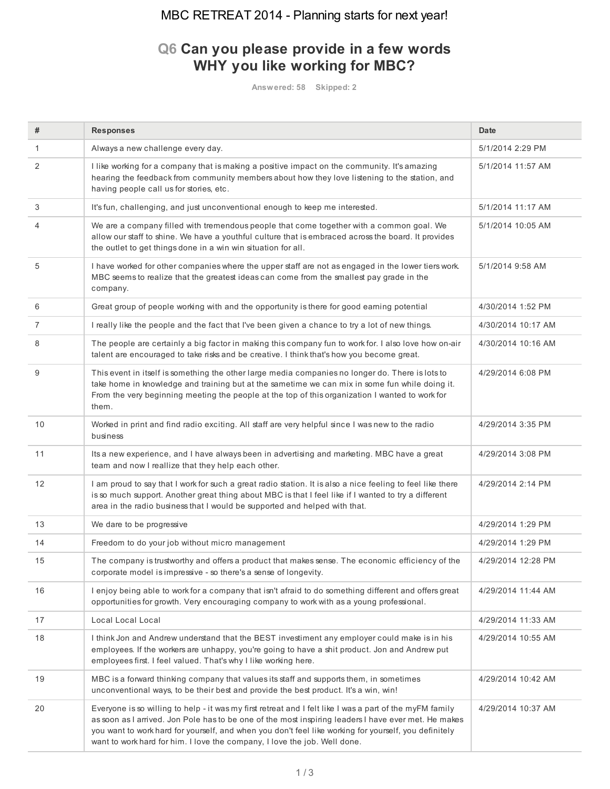## MBC RETREAT 2014 - Planning starts for next year!

## **Q6 Can you please provide in a few words WHY you like working for MBC?**

**Answered: 58 Skipped: 2**

| #              | <b>Responses</b>                                                                                                                                                                                                                                                                                                                                                                                       | <b>Date</b>        |
|----------------|--------------------------------------------------------------------------------------------------------------------------------------------------------------------------------------------------------------------------------------------------------------------------------------------------------------------------------------------------------------------------------------------------------|--------------------|
| $\mathbf{1}$   | Always a new challenge every day.                                                                                                                                                                                                                                                                                                                                                                      | 5/1/2014 2:29 PM   |
| 2              | I like working for a company that is making a positive impact on the community. It's amazing<br>hearing the feedback from community members about how they love listening to the station, and<br>having people call us for stories, etc.                                                                                                                                                               | 5/1/2014 11:57 AM  |
| 3              | It's fun, challenging, and just unconventional enough to keep me interested.                                                                                                                                                                                                                                                                                                                           | 5/1/2014 11:17 AM  |
| 4              | We are a company filled with tremendous people that come together with a common goal. We<br>allow our staff to shine. We have a youthful culture that is embraced across the board. It provides<br>the outlet to get things done in a win win situation for all.                                                                                                                                       | 5/1/2014 10:05 AM  |
| 5              | I have worked for other companies where the upper staff are not as engaged in the lower tiers work.<br>MBC seems to realize that the greatest ideas can come from the smallest pay grade in the<br>company.                                                                                                                                                                                            | 5/1/2014 9:58 AM   |
| 6              | Great group of people working with and the opportunity is there for good earning potential                                                                                                                                                                                                                                                                                                             | 4/30/2014 1:52 PM  |
| $\overline{7}$ | I really like the people and the fact that I've been given a chance to try a lot of new things.                                                                                                                                                                                                                                                                                                        | 4/30/2014 10:17 AM |
| 8              | The people are certainly a big factor in making this company fun to work for. I also love how on-air<br>talent are encouraged to take risks and be creative. I think that's how you become great.                                                                                                                                                                                                      | 4/30/2014 10:16 AM |
| 9              | This event in itself is something the other large media companies no longer do. There is lots to<br>take home in knowledge and training but at the sametime we can mix in some fun while doing it.<br>From the very beginning meeting the people at the top of this organization I wanted to work for<br>them.                                                                                         | 4/29/2014 6:08 PM  |
| 10             | Worked in print and find radio exciting. All staff are very helpful since I was new to the radio<br>business                                                                                                                                                                                                                                                                                           | 4/29/2014 3:35 PM  |
| 11             | Its a new experience, and I have always been in advertising and marketing. MBC have a great<br>team and now I reallize that they help each other.                                                                                                                                                                                                                                                      | 4/29/2014 3:08 PM  |
| 12             | I am proud to say that I work for such a great radio station. It is also a nice feeling to feel like there<br>is so much support. Another great thing about MBC is that I feel like if I wanted to try a different<br>area in the radio business that I would be supported and helped with that.                                                                                                       | 4/29/2014 2:14 PM  |
| 13             | We dare to be progressive                                                                                                                                                                                                                                                                                                                                                                              | 4/29/2014 1:29 PM  |
| 14             | Freedom to do your job without micro management                                                                                                                                                                                                                                                                                                                                                        | 4/29/2014 1:29 PM  |
| 15             | The company is trustworthy and offers a product that makes sense. The economic efficiency of the<br>corporate model is impressive - so there's a sense of longevity.                                                                                                                                                                                                                                   | 4/29/2014 12:28 PM |
| 16             | I enjoy being able to work for a company that isn't afraid to do something different and offers great<br>opportunities for growth. Very encouraging company to work with as a young professional.                                                                                                                                                                                                      | 4/29/2014 11:44 AM |
| 17             | Local Local Local                                                                                                                                                                                                                                                                                                                                                                                      | 4/29/2014 11:33 AM |
| 18             | I think Jon and Andrew understand that the BEST investiment any employer could make is in his<br>employees. If the workers are unhappy, you're going to have a shit product. Jon and Andrew put<br>employees first. I feel valued. That's why I like working here.                                                                                                                                     | 4/29/2014 10:55 AM |
| 19             | MBC is a forward thinking company that values its staff and supports them, in sometimes<br>unconventional ways, to be their best and provide the best product. It's a win, win!                                                                                                                                                                                                                        | 4/29/2014 10:42 AM |
| 20             | Everyone is so willing to help - it was my first retreat and I felt like I was a part of the myFM family<br>as soon as I arrived. Jon Pole has to be one of the most inspiring leaders I have ever met. He makes<br>you want to work hard for yourself, and when you don't feel like working for yourself, you definitely<br>want to work hard for him. I love the company, I love the job. Well done. | 4/29/2014 10:37 AM |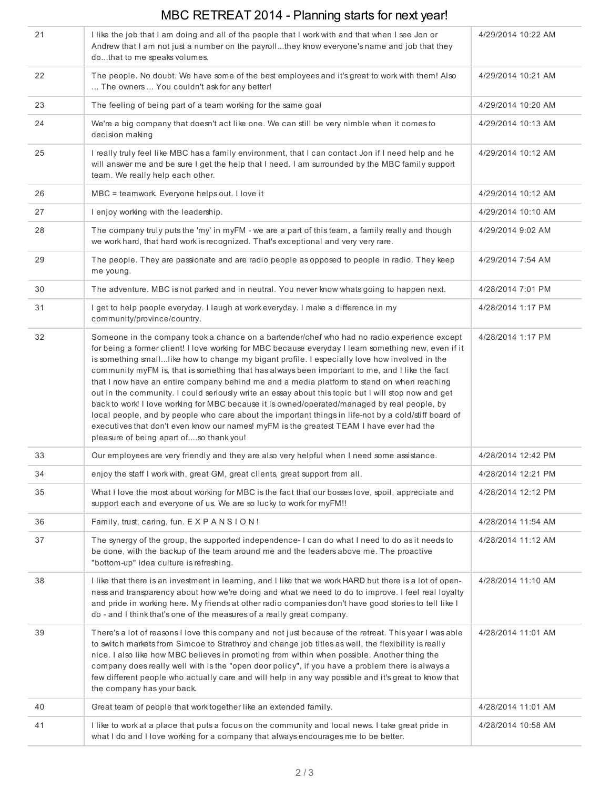## MBC RETREAT 2014 - Planning starts for next year!

| 21 | I like the job that I am doing and all of the people that I work with and that when I see Jon or<br>Andrew that I am not just a number on the payrollthey know everyone's name and job that they<br>dothat to me speaks volumes.                                                                                                                                                                                                                                                                                                                                                                                                                                                                                                                                                                                                                                                                                                                           | 4/29/2014 10:22 AM |
|----|------------------------------------------------------------------------------------------------------------------------------------------------------------------------------------------------------------------------------------------------------------------------------------------------------------------------------------------------------------------------------------------------------------------------------------------------------------------------------------------------------------------------------------------------------------------------------------------------------------------------------------------------------------------------------------------------------------------------------------------------------------------------------------------------------------------------------------------------------------------------------------------------------------------------------------------------------------|--------------------|
| 22 | The people. No doubt. We have some of the best employees and it's great to work with them! Also<br>The owners  You couldn't ask for any better!                                                                                                                                                                                                                                                                                                                                                                                                                                                                                                                                                                                                                                                                                                                                                                                                            | 4/29/2014 10:21 AM |
| 23 | The feeling of being part of a team working for the same goal                                                                                                                                                                                                                                                                                                                                                                                                                                                                                                                                                                                                                                                                                                                                                                                                                                                                                              | 4/29/2014 10:20 AM |
| 24 | We're a big company that doesn't act like one. We can still be very nimble when it comes to<br>decision making                                                                                                                                                                                                                                                                                                                                                                                                                                                                                                                                                                                                                                                                                                                                                                                                                                             | 4/29/2014 10:13 AM |
| 25 | I really truly feel like MBC has a family environment, that I can contact Jon if I need help and he<br>will answer me and be sure I get the help that I need. I am surrounded by the MBC family support<br>team. We really help each other.                                                                                                                                                                                                                                                                                                                                                                                                                                                                                                                                                                                                                                                                                                                | 4/29/2014 10:12 AM |
| 26 | MBC = teamwork. Everyone helps out. I love it                                                                                                                                                                                                                                                                                                                                                                                                                                                                                                                                                                                                                                                                                                                                                                                                                                                                                                              | 4/29/2014 10:12 AM |
| 27 | I enjoy working with the leadership.                                                                                                                                                                                                                                                                                                                                                                                                                                                                                                                                                                                                                                                                                                                                                                                                                                                                                                                       | 4/29/2014 10:10 AM |
| 28 | The company truly puts the 'my' in myFM - we are a part of this team, a family really and though<br>we work hard, that hard work is recognized. That's exceptional and very very rare.                                                                                                                                                                                                                                                                                                                                                                                                                                                                                                                                                                                                                                                                                                                                                                     | 4/29/2014 9:02 AM  |
| 29 | The people. They are passionate and are radio people as opposed to people in radio. They keep<br>me young.                                                                                                                                                                                                                                                                                                                                                                                                                                                                                                                                                                                                                                                                                                                                                                                                                                                 | 4/29/2014 7:54 AM  |
| 30 | The adventure. MBC is not parked and in neutral. You never know whats going to happen next.                                                                                                                                                                                                                                                                                                                                                                                                                                                                                                                                                                                                                                                                                                                                                                                                                                                                | 4/28/2014 7:01 PM  |
| 31 | I get to help people everyday. I laugh at work everyday. I make a difference in my<br>community/province/country.                                                                                                                                                                                                                                                                                                                                                                                                                                                                                                                                                                                                                                                                                                                                                                                                                                          | 4/28/2014 1:17 PM  |
| 32 | Someone in the company took a chance on a bartender/chef who had no radio experience except<br>for being a former client! I love working for MBC because everyday I learn something new, even if it<br>is something smalllike how to change my bigant profile. I especially love how involved in the<br>community myFM is, that is something that has always been important to me, and I like the fact<br>that I now have an entire company behind me and a media platform to stand on when reaching<br>out in the community. I could seriously write an essay about this topic but I will stop now and get<br>back to work! I love working for MBC because it is owned/operated/managed by real people, by<br>local people, and by people who care about the important things in life-not by a cold/stiff board of<br>executives that don't even know our names! myFM is the greatest TEAM I have ever had the<br>pleasure of being apart ofso thank you! | 4/28/2014 1:17 PM  |
| 33 | Our employees are very friendly and they are also very helpful when I need some assistance.                                                                                                                                                                                                                                                                                                                                                                                                                                                                                                                                                                                                                                                                                                                                                                                                                                                                | 4/28/2014 12:42 PM |
| 34 | enjoy the staff I work with, great GM, great clients, great support from all.                                                                                                                                                                                                                                                                                                                                                                                                                                                                                                                                                                                                                                                                                                                                                                                                                                                                              | 4/28/2014 12:21 PM |
| 35 | What I love the most about working for MBC is the fact that our bosses love, spoil, appreciate and<br>support each and everyone of us. We are so lucky to work for myFM!!                                                                                                                                                                                                                                                                                                                                                                                                                                                                                                                                                                                                                                                                                                                                                                                  | 4/28/2014 12:12 PM |
| 36 | Family, trust, caring, fun. EXPANSION!                                                                                                                                                                                                                                                                                                                                                                                                                                                                                                                                                                                                                                                                                                                                                                                                                                                                                                                     | 4/28/2014 11:54 AM |
| 37 | The synergy of the group, the supported independence-I can do what I need to do as it needs to<br>be done, with the backup of the team around me and the leaders above me. The proactive<br>"bottom-up" idea culture is refreshing.                                                                                                                                                                                                                                                                                                                                                                                                                                                                                                                                                                                                                                                                                                                        | 4/28/2014 11:12 AM |
| 38 | I like that there is an investment in learning, and I like that we work HARD but there is a lot of open-<br>ness and transparency about how we're doing and what we need to do to improve. I feel real loyalty<br>and pride in working here. My friends at other radio companies don't have good stories to tell like I<br>do - and I think that's one of the measures of a really great company.                                                                                                                                                                                                                                                                                                                                                                                                                                                                                                                                                          | 4/28/2014 11:10 AM |
| 39 | There's a lot of reasons I love this company and not just because of the retreat. This year I was able<br>to switch markets from Simcoe to Strathroy and change job titles as well, the flexibility is really<br>nice. I also like how MBC believes in promoting from within when possible. Another thing the<br>company does really well with is the "open door policy", if you have a problem there is always a<br>few different people who actually care and will help in any way possible and it's great to know that<br>the company has your back.                                                                                                                                                                                                                                                                                                                                                                                                    | 4/28/2014 11:01 AM |
| 40 | Great team of people that work together like an extended family.                                                                                                                                                                                                                                                                                                                                                                                                                                                                                                                                                                                                                                                                                                                                                                                                                                                                                           | 4/28/2014 11:01 AM |
| 41 | I like to work at a place that puts a focus on the community and local news. I take great pride in<br>what I do and I love working for a company that always encourages me to be better.                                                                                                                                                                                                                                                                                                                                                                                                                                                                                                                                                                                                                                                                                                                                                                   | 4/28/2014 10:58 AM |